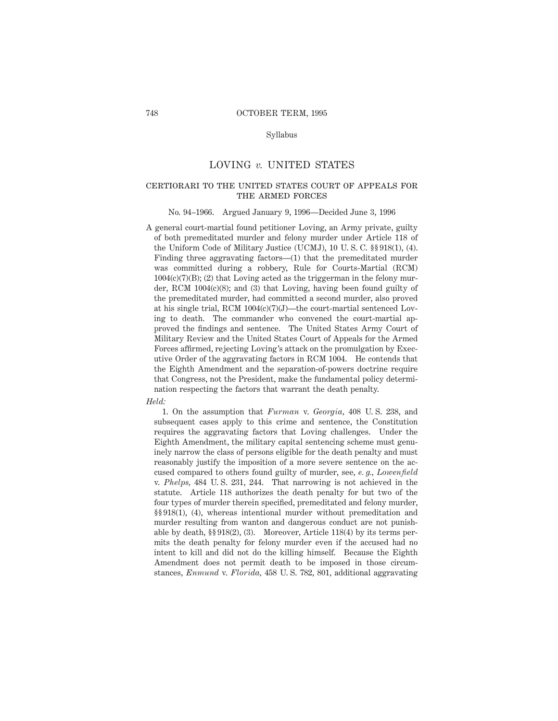### Syllabus

# LOVING *v.* UNITED STATES

# certiorari to the united states court of appeals for THE ARMED FORCES

#### No. 94–1966. Argued January 9, 1996—Decided June 3, 1996

A general court-martial found petitioner Loving, an Army private, guilty of both premeditated murder and felony murder under Article 118 of the Uniform Code of Military Justice (UCMJ), 10 U. S. C. §§ 918(1), (4). Finding three aggravating factors—(1) that the premeditated murder was committed during a robbery, Rule for Courts-Martial (RCM)  $1004(c)(7)(B)$ ; (2) that Loving acted as the triggerman in the felony murder, RCM 1004(c)(8); and (3) that Loving, having been found guilty of the premeditated murder, had committed a second murder, also proved at his single trial, RCM  $1004(c)(7)(J)$ —the court-martial sentenced Loving to death. The commander who convened the court-martial approved the findings and sentence. The United States Army Court of Military Review and the United States Court of Appeals for the Armed Forces affirmed, rejecting Loving's attack on the promulgation by Executive Order of the aggravating factors in RCM 1004. He contends that the Eighth Amendment and the separation-of-powers doctrine require that Congress, not the President, make the fundamental policy determination respecting the factors that warrant the death penalty.

#### *Held:*

1. On the assumption that *Furman* v. *Georgia,* 408 U. S. 238, and subsequent cases apply to this crime and sentence, the Constitution requires the aggravating factors that Loving challenges. Under the Eighth Amendment, the military capital sentencing scheme must genuinely narrow the class of persons eligible for the death penalty and must reasonably justify the imposition of a more severe sentence on the accused compared to others found guilty of murder, see, *e. g., Lowenfield* v. *Phelps,* 484 U. S. 231, 244. That narrowing is not achieved in the statute. Article 118 authorizes the death penalty for but two of the four types of murder therein specified, premeditated and felony murder, §§ 918(1), (4), whereas intentional murder without premeditation and murder resulting from wanton and dangerous conduct are not punishable by death, §§ 918(2), (3). Moreover, Article 118(4) by its terms permits the death penalty for felony murder even if the accused had no intent to kill and did not do the killing himself. Because the Eighth Amendment does not permit death to be imposed in those circumstances, *Enmund* v. *Florida,* 458 U. S. 782, 801, additional aggravating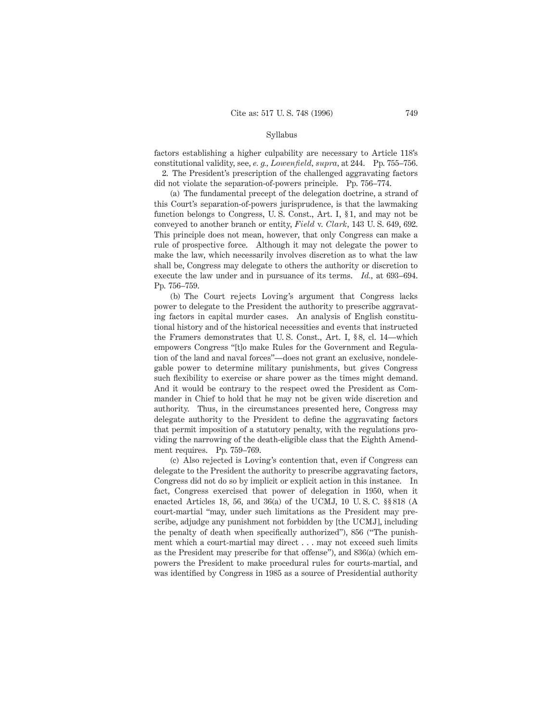#### Syllabus

factors establishing a higher culpability are necessary to Article 118's constitutional validity, see, *e. g., Lowenfield, supra,* at 244. Pp. 755–756.

2. The President's prescription of the challenged aggravating factors did not violate the separation-of-powers principle. Pp. 756–774.

(a) The fundamental precept of the delegation doctrine, a strand of this Court's separation-of-powers jurisprudence, is that the lawmaking function belongs to Congress, U. S. Const., Art. I, § 1, and may not be conveyed to another branch or entity, *Field* v. *Clark,* 143 U. S. 649, 692. This principle does not mean, however, that only Congress can make a rule of prospective force. Although it may not delegate the power to make the law, which necessarily involves discretion as to what the law shall be, Congress may delegate to others the authority or discretion to execute the law under and in pursuance of its terms. *Id.,* at 693–694. Pp. 756–759.

(b) The Court rejects Loving's argument that Congress lacks power to delegate to the President the authority to prescribe aggravating factors in capital murder cases. An analysis of English constitutional history and of the historical necessities and events that instructed the Framers demonstrates that U. S. Const., Art. I, § 8, cl. 14—which empowers Congress "[t]o make Rules for the Government and Regulation of the land and naval forces"—does not grant an exclusive, nondelegable power to determine military punishments, but gives Congress such flexibility to exercise or share power as the times might demand. And it would be contrary to the respect owed the President as Commander in Chief to hold that he may not be given wide discretion and authority. Thus, in the circumstances presented here, Congress may delegate authority to the President to define the aggravating factors that permit imposition of a statutory penalty, with the regulations providing the narrowing of the death-eligible class that the Eighth Amendment requires. Pp. 759–769.

(c) Also rejected is Loving's contention that, even if Congress can delegate to the President the authority to prescribe aggravating factors, Congress did not do so by implicit or explicit action in this instance. In fact, Congress exercised that power of delegation in 1950, when it enacted Articles 18, 56, and 36(a) of the UCMJ, 10 U. S. C. §§ 818 (A court-martial "may, under such limitations as the President may prescribe, adjudge any punishment not forbidden by [the UCMJ], including the penalty of death when specifically authorized"), 856 ("The punishment which a court-martial may direct . . . may not exceed such limits as the President may prescribe for that offense"), and 836(a) (which empowers the President to make procedural rules for courts-martial, and was identified by Congress in 1985 as a source of Presidential authority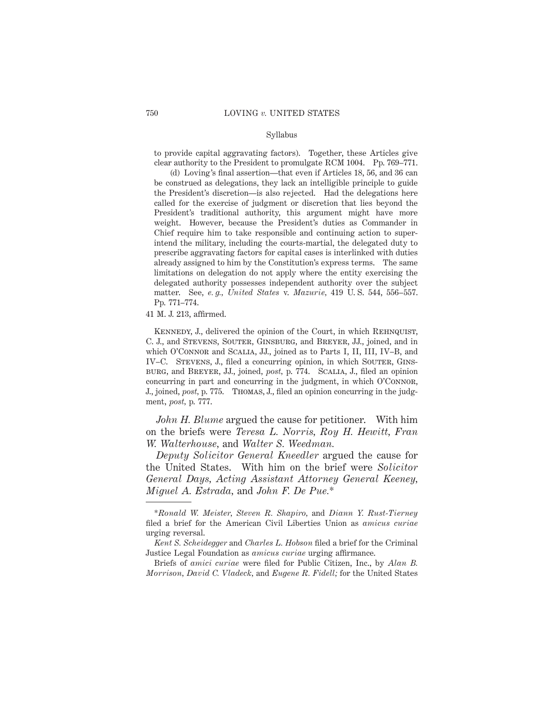#### Syllabus

to provide capital aggravating factors). Together, these Articles give clear authority to the President to promulgate RCM 1004. Pp. 769–771.

(d) Loving's final assertion—that even if Articles 18, 56, and 36 can be construed as delegations, they lack an intelligible principle to guide the President's discretion—is also rejected. Had the delegations here called for the exercise of judgment or discretion that lies beyond the President's traditional authority, this argument might have more weight. However, because the President's duties as Commander in Chief require him to take responsible and continuing action to superintend the military, including the courts-martial, the delegated duty to prescribe aggravating factors for capital cases is interlinked with duties already assigned to him by the Constitution's express terms. The same limitations on delegation do not apply where the entity exercising the delegated authority possesses independent authority over the subject matter. See, *e. g., United States* v. *Mazurie,* 419 U. S. 544, 556–557. Pp. 771–774.

41 M. J. 213, affirmed.

KENNEDY, J., delivered the opinion of the Court, in which REHNQUIST, C. J., and Stevens, Souter, Ginsburg, and Breyer, JJ., joined, and in which O'CONNOR and SCALIA, JJ., joined as to Parts I, II, III, IV–B, and IV–C. STEVENS, J., filed a concurring opinion, in which SOUTER, GINSburg, and Breyer, JJ., joined, *post,* p. 774. Scalia, J., filed an opinion concurring in part and concurring in the judgment, in which O'Connor, J., joined, *post,* p. 775. Thomas, J., filed an opinion concurring in the judgment, *post,* p. 777.

*John H. Blume* argued the cause for petitioner. With him on the briefs were *Teresa L. Norris, Roy H. Hewitt, Fran W. Walterhouse,* and *Walter S. Weedman.*

*Deputy Solicitor General Kneedler* argued the cause for the United States. With him on the brief were *Solicitor General Days, Acting Assistant Attorney General Keeney, Miguel A. Estrada,* and *John F. De Pue.*\*

Briefs of *amici curiae* were filed for Public Citizen, Inc., by *Alan B. Morrison, David C. Vladeck,* and *Eugene R. Fidell;* for the United States

<sup>\*</sup>*Ronald W. Meister, Steven R. Shapiro,* and *Diann Y. Rust-Tierney* filed a brief for the American Civil Liberties Union as *amicus curiae* urging reversal.

*Kent S. Scheidegger* and *Charles L. Hobson* filed a brief for the Criminal Justice Legal Foundation as *amicus curiae* urging affirmance.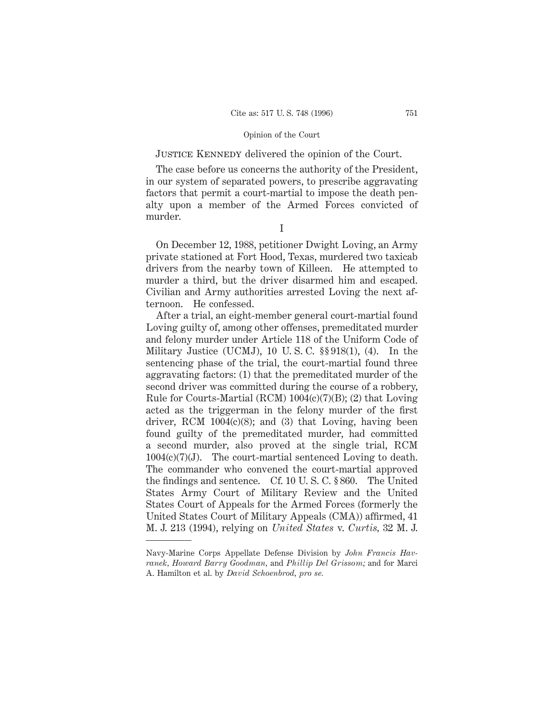# JUSTICE KENNEDY delivered the opinion of the Court.

The case before us concerns the authority of the President, in our system of separated powers, to prescribe aggravating factors that permit a court-martial to impose the death penalty upon a member of the Armed Forces convicted of murder.

On December 12, 1988, petitioner Dwight Loving, an Army private stationed at Fort Hood, Texas, murdered two taxicab drivers from the nearby town of Killeen. He attempted to murder a third, but the driver disarmed him and escaped. Civilian and Army authorities arrested Loving the next afternoon. He confessed.

After a trial, an eight-member general court-martial found Loving guilty of, among other offenses, premeditated murder and felony murder under Article 118 of the Uniform Code of Military Justice (UCMJ), 10 U. S. C. §§ 918(1), (4). In the sentencing phase of the trial, the court-martial found three aggravating factors: (1) that the premeditated murder of the second driver was committed during the course of a robbery, Rule for Courts-Martial (RCM) 1004(c)(7)(B); (2) that Loving acted as the triggerman in the felony murder of the first driver, RCM  $1004(c)(8)$ ; and (3) that Loving, having been found guilty of the premeditated murder, had committed a second murder, also proved at the single trial, RCM 1004(c)(7)(J). The court-martial sentenced Loving to death. The commander who convened the court-martial approved the findings and sentence. Cf. 10 U. S. C. § 860. The United States Army Court of Military Review and the United States Court of Appeals for the Armed Forces (formerly the United States Court of Military Appeals (CMA)) affirmed, 41 M. J. 213 (1994), relying on *United States* v. *Curtis,* 32 M. J.

I

Navy-Marine Corps Appellate Defense Division by *John Francis Havranek, Howard Barry Goodman,* and *Phillip Del Grissom;* and for Marci A. Hamilton et al. by *David Schoenbrod, pro se.*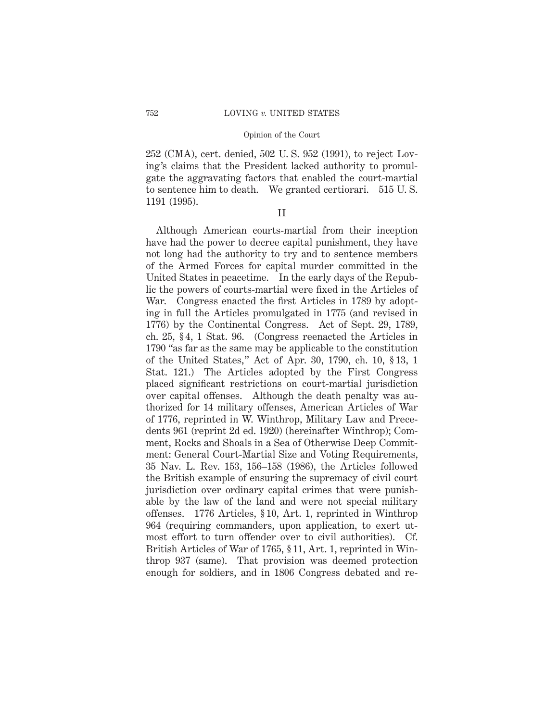252 (CMA), cert. denied, 502 U. S. 952 (1991), to reject Loving's claims that the President lacked authority to promulgate the aggravating factors that enabled the court-martial to sentence him to death. We granted certiorari. 515 U. S. 1191 (1995).

II

Although American courts-martial from their inception have had the power to decree capital punishment, they have not long had the authority to try and to sentence members of the Armed Forces for capital murder committed in the United States in peacetime. In the early days of the Republic the powers of courts-martial were fixed in the Articles of War. Congress enacted the first Articles in 1789 by adopting in full the Articles promulgated in 1775 (and revised in 1776) by the Continental Congress. Act of Sept. 29, 1789, ch. 25, § 4, 1 Stat. 96. (Congress reenacted the Articles in 1790 "as far as the same may be applicable to the constitution of the United States," Act of Apr. 30, 1790, ch. 10, § 13, 1 Stat. 121.) The Articles adopted by the First Congress placed significant restrictions on court-martial jurisdiction over capital offenses. Although the death penalty was authorized for 14 military offenses, American Articles of War of 1776, reprinted in W. Winthrop, Military Law and Precedents 961 (reprint 2d ed. 1920) (hereinafter Winthrop); Comment, Rocks and Shoals in a Sea of Otherwise Deep Commitment: General Court-Martial Size and Voting Requirements, 35 Nav. L. Rev. 153, 156–158 (1986), the Articles followed the British example of ensuring the supremacy of civil court jurisdiction over ordinary capital crimes that were punishable by the law of the land and were not special military offenses. 1776 Articles, § 10, Art. 1, reprinted in Winthrop 964 (requiring commanders, upon application, to exert utmost effort to turn offender over to civil authorities). Cf. British Articles of War of 1765, § 11, Art. 1, reprinted in Winthrop 937 (same). That provision was deemed protection enough for soldiers, and in 1806 Congress debated and re-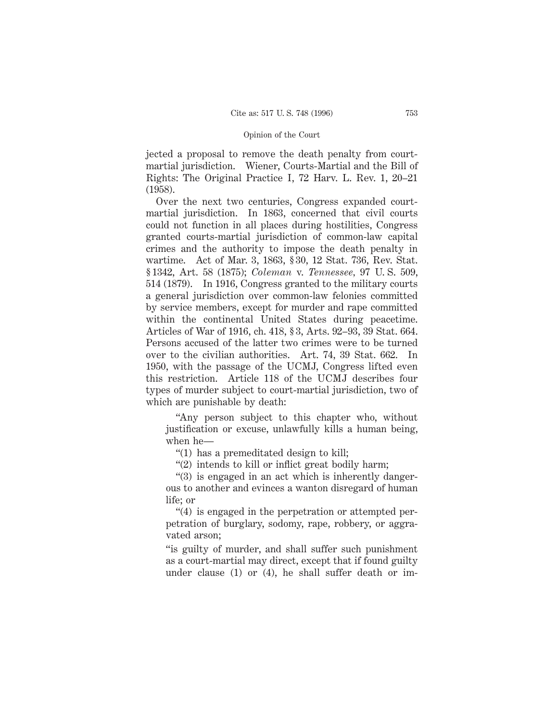jected a proposal to remove the death penalty from courtmartial jurisdiction. Wiener, Courts-Martial and the Bill of Rights: The Original Practice I, 72 Harv. L. Rev. 1, 20–21 (1958).

Over the next two centuries, Congress expanded courtmartial jurisdiction. In 1863, concerned that civil courts could not function in all places during hostilities, Congress granted courts-martial jurisdiction of common-law capital crimes and the authority to impose the death penalty in wartime. Act of Mar. 3, 1863, § 30, 12 Stat. 736, Rev. Stat. § 1342, Art. 58 (1875); *Coleman* v. *Tennessee,* 97 U. S. 509, 514 (1879). In 1916, Congress granted to the military courts a general jurisdiction over common-law felonies committed by service members, except for murder and rape committed within the continental United States during peacetime. Articles of War of 1916, ch. 418, § 3, Arts. 92–93, 39 Stat. 664. Persons accused of the latter two crimes were to be turned over to the civilian authorities. Art. 74, 39 Stat. 662. In 1950, with the passage of the UCMJ, Congress lifted even this restriction. Article 118 of the UCMJ describes four types of murder subject to court-martial jurisdiction, two of which are punishable by death:

"Any person subject to this chapter who, without justification or excuse, unlawfully kills a human being, when he—

"(1) has a premeditated design to kill;

"(2) intends to kill or inflict great bodily harm;

"(3) is engaged in an act which is inherently dangerous to another and evinces a wanton disregard of human life; or

"(4) is engaged in the perpetration or attempted perpetration of burglary, sodomy, rape, robbery, or aggravated arson;

"is guilty of murder, and shall suffer such punishment as a court-martial may direct, except that if found guilty under clause (1) or (4), he shall suffer death or im-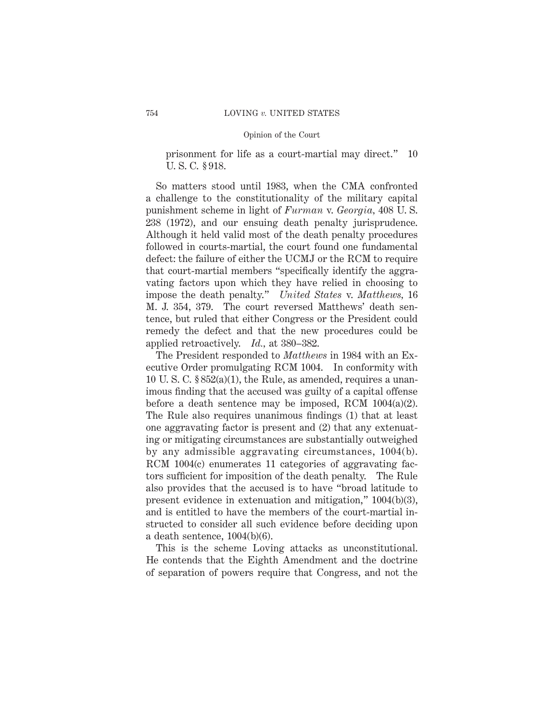prisonment for life as a court-martial may direct." 10 U. S. C. § 918.

So matters stood until 1983, when the CMA confronted a challenge to the constitutionality of the military capital punishment scheme in light of *Furman* v. *Georgia,* 408 U. S. 238 (1972), and our ensuing death penalty jurisprudence. Although it held valid most of the death penalty procedures followed in courts-martial, the court found one fundamental defect: the failure of either the UCMJ or the RCM to require that court-martial members "specifically identify the aggravating factors upon which they have relied in choosing to impose the death penalty." *United States* v. *Matthews,* 16 M. J. 354, 379. The court reversed Matthews' death sentence, but ruled that either Congress or the President could remedy the defect and that the new procedures could be applied retroactively. *Id.,* at 380–382.

The President responded to *Matthews* in 1984 with an Executive Order promulgating RCM 1004. In conformity with 10 U.S. C.  $\S 852(a)(1)$ , the Rule, as amended, requires a unanimous finding that the accused was guilty of a capital offense before a death sentence may be imposed, RCM  $1004(a)(2)$ . The Rule also requires unanimous findings (1) that at least one aggravating factor is present and (2) that any extenuating or mitigating circumstances are substantially outweighed by any admissible aggravating circumstances, 1004(b). RCM 1004(c) enumerates 11 categories of aggravating factors sufficient for imposition of the death penalty. The Rule also provides that the accused is to have "broad latitude to present evidence in extenuation and mitigation," 1004(b)(3), and is entitled to have the members of the court-martial instructed to consider all such evidence before deciding upon a death sentence, 1004(b)(6).

This is the scheme Loving attacks as unconstitutional. He contends that the Eighth Amendment and the doctrine of separation of powers require that Congress, and not the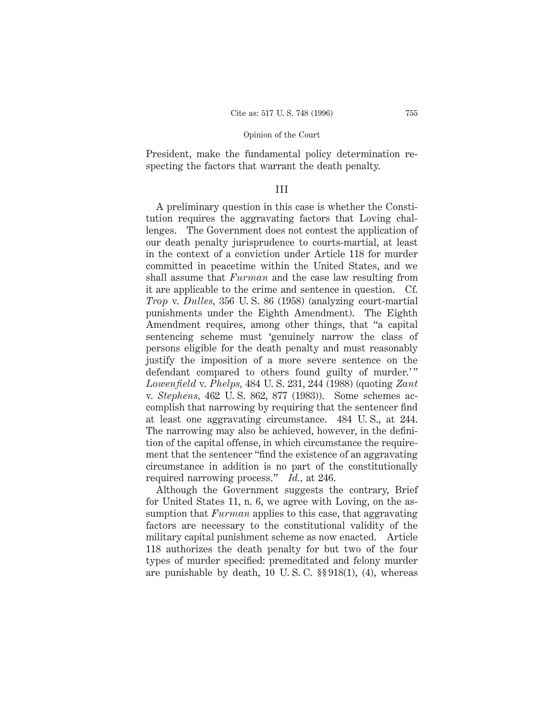President, make the fundamental policy determination respecting the factors that warrant the death penalty.

# III

A preliminary question in this case is whether the Constitution requires the aggravating factors that Loving challenges. The Government does not contest the application of our death penalty jurisprudence to courts-martial, at least in the context of a conviction under Article 118 for murder committed in peacetime within the United States, and we shall assume that *Furman* and the case law resulting from it are applicable to the crime and sentence in question. Cf. *Trop* v. *Dulles,* 356 U. S. 86 (1958) (analyzing court-martial punishments under the Eighth Amendment). The Eighth Amendment requires, among other things, that "a capital sentencing scheme must 'genuinely narrow the class of persons eligible for the death penalty and must reasonably justify the imposition of a more severe sentence on the defendant compared to others found guilty of murder.'" *Lowenfield* v. *Phelps,* 484 U. S. 231, 244 (1988) (quoting *Zant* v. *Stephens,* 462 U. S. 862, 877 (1983)). Some schemes accomplish that narrowing by requiring that the sentencer find at least one aggravating circumstance. 484 U. S., at 244. The narrowing may also be achieved, however, in the definition of the capital offense, in which circumstance the requirement that the sentencer "find the existence of an aggravating circumstance in addition is no part of the constitutionally required narrowing process." *Id.,* at 246.

Although the Government suggests the contrary, Brief for United States 11, n. 6, we agree with Loving, on the assumption that *Furman* applies to this case, that aggravating factors are necessary to the constitutional validity of the military capital punishment scheme as now enacted. Article 118 authorizes the death penalty for but two of the four types of murder specified: premeditated and felony murder are punishable by death, 10 U. S. C. §§ 918(1), (4), whereas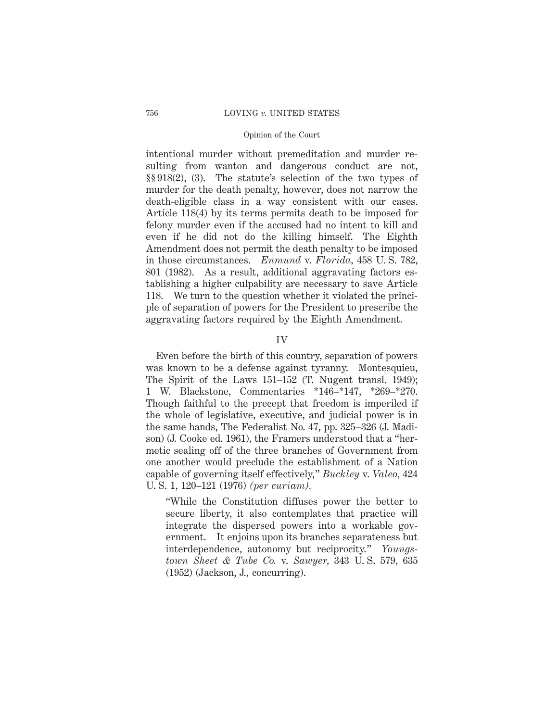intentional murder without premeditation and murder resulting from wanton and dangerous conduct are not, §§ 918(2), (3). The statute's selection of the two types of murder for the death penalty, however, does not narrow the death-eligible class in a way consistent with our cases. Article 118(4) by its terms permits death to be imposed for felony murder even if the accused had no intent to kill and even if he did not do the killing himself. The Eighth Amendment does not permit the death penalty to be imposed in those circumstances. *Enmund* v. *Florida,* 458 U. S. 782, 801 (1982). As a result, additional aggravating factors establishing a higher culpability are necessary to save Article 118. We turn to the question whether it violated the principle of separation of powers for the President to prescribe the aggravating factors required by the Eighth Amendment.

### IV

Even before the birth of this country, separation of powers was known to be a defense against tyranny. Montesquieu, The Spirit of the Laws 151–152 (T. Nugent transl. 1949); 1 W. Blackstone, Commentaries \*146–\*147, \*269–\*270. Though faithful to the precept that freedom is imperiled if the whole of legislative, executive, and judicial power is in the same hands, The Federalist No. 47, pp. 325–326 (J. Madison) (J. Cooke ed. 1961), the Framers understood that a "hermetic sealing off of the three branches of Government from one another would preclude the establishment of a Nation capable of governing itself effectively," *Buckley* v. *Valeo,* 424 U. S. 1, 120–121 (1976) *(per curiam).*

"While the Constitution diffuses power the better to secure liberty, it also contemplates that practice will integrate the dispersed powers into a workable government. It enjoins upon its branches separateness but interdependence, autonomy but reciprocity." *Youngstown Sheet & Tube Co.* v. *Sawyer,* 343 U. S. 579, 635 (1952) (Jackson, J., concurring).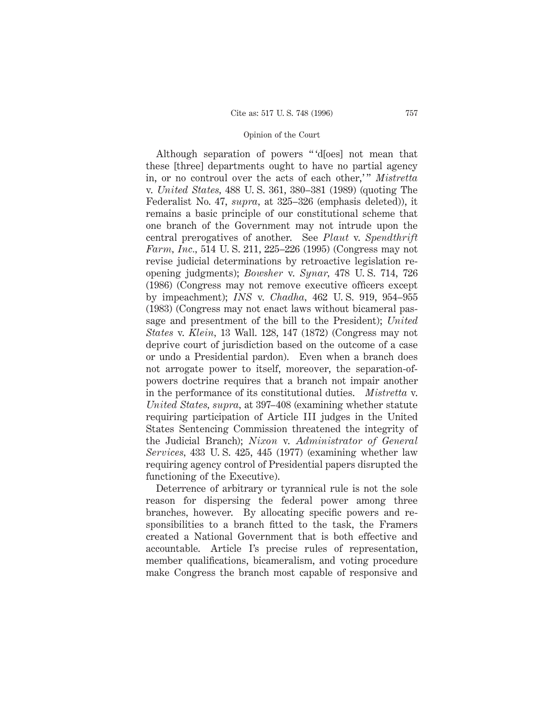Although separation of powers " 'd[oes] not mean that these [three] departments ought to have no partial agency in, or no controul over the acts of each other," *Mistretta* v. *United States,* 488 U. S. 361, 380–381 (1989) (quoting The Federalist No. 47, *supra,* at 325–326 (emphasis deleted)), it remains a basic principle of our constitutional scheme that one branch of the Government may not intrude upon the central prerogatives of another. See *Plaut* v. *Spendthrift Farm, Inc.,* 514 U. S. 211, 225–226 (1995) (Congress may not revise judicial determinations by retroactive legislation reopening judgments); *Bowsher* v. *Synar,* 478 U. S. 714, 726 (1986) (Congress may not remove executive officers except by impeachment); *INS* v. *Chadha,* 462 U. S. 919, 954–955 (1983) (Congress may not enact laws without bicameral passage and presentment of the bill to the President); *United States* v. *Klein,* 13 Wall. 128, 147 (1872) (Congress may not deprive court of jurisdiction based on the outcome of a case or undo a Presidential pardon). Even when a branch does not arrogate power to itself, moreover, the separation-ofpowers doctrine requires that a branch not impair another in the performance of its constitutional duties. *Mistretta* v. *United States, supra,* at 397–408 (examining whether statute requiring participation of Article III judges in the United States Sentencing Commission threatened the integrity of the Judicial Branch); *Nixon* v. *Administrator of General Services,* 433 U. S. 425, 445 (1977) (examining whether law requiring agency control of Presidential papers disrupted the functioning of the Executive).

Deterrence of arbitrary or tyrannical rule is not the sole reason for dispersing the federal power among three branches, however. By allocating specific powers and responsibilities to a branch fitted to the task, the Framers created a National Government that is both effective and accountable. Article I's precise rules of representation, member qualifications, bicameralism, and voting procedure make Congress the branch most capable of responsive and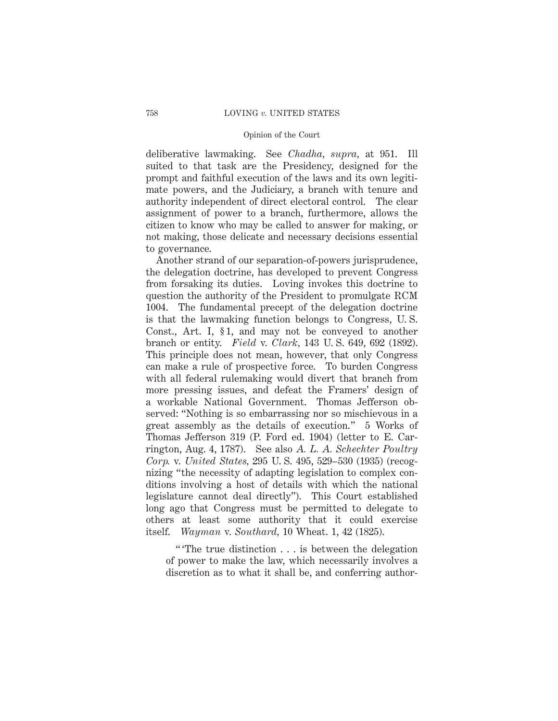deliberative lawmaking. See *Chadha, supra,* at 951. Ill suited to that task are the Presidency, designed for the prompt and faithful execution of the laws and its own legitimate powers, and the Judiciary, a branch with tenure and authority independent of direct electoral control. The clear assignment of power to a branch, furthermore, allows the citizen to know who may be called to answer for making, or not making, those delicate and necessary decisions essential to governance.

Another strand of our separation-of-powers jurisprudence, the delegation doctrine, has developed to prevent Congress from forsaking its duties. Loving invokes this doctrine to question the authority of the President to promulgate RCM 1004. The fundamental precept of the delegation doctrine is that the lawmaking function belongs to Congress, U. S. Const., Art. I, § 1, and may not be conveyed to another branch or entity. *Field* v. *Clark,* 143 U. S. 649, 692 (1892). This principle does not mean, however, that only Congress can make a rule of prospective force. To burden Congress with all federal rulemaking would divert that branch from more pressing issues, and defeat the Framers' design of a workable National Government. Thomas Jefferson observed: "Nothing is so embarrassing nor so mischievous in a great assembly as the details of execution." 5 Works of Thomas Jefferson 319 (P. Ford ed. 1904) (letter to E. Carrington, Aug. 4, 1787). See also *A. L. A. Schechter Poultry Corp.* v. *United States,* 295 U. S. 495, 529–530 (1935) (recognizing "the necessity of adapting legislation to complex conditions involving a host of details with which the national legislature cannot deal directly"). This Court established long ago that Congress must be permitted to delegate to others at least some authority that it could exercise itself. *Wayman* v. *Southard,* 10 Wheat. 1, 42 (1825).

" 'The true distinction . . . is between the delegation of power to make the law, which necessarily involves a discretion as to what it shall be, and conferring author-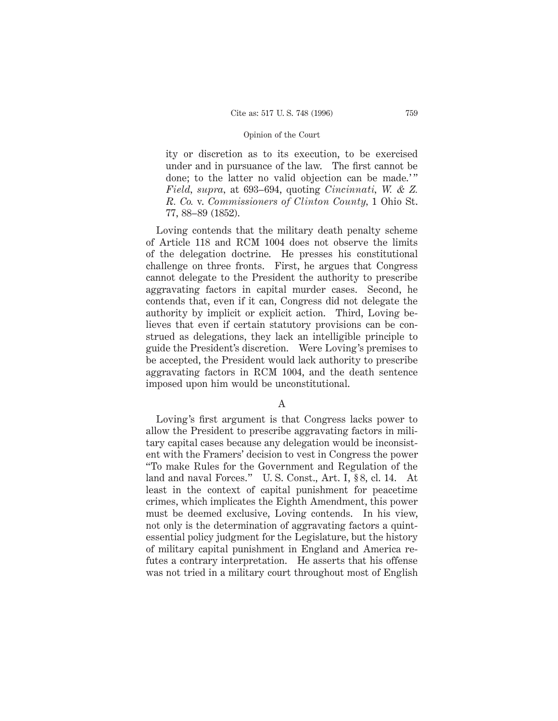ity or discretion as to its execution, to be exercised under and in pursuance of the law. The first cannot be done; to the latter no valid objection can be made.'" *Field, supra,* at 693–694, quoting *Cincinnati, W. & Z. R. Co.* v. *Commissioners of Clinton County,* 1 Ohio St. 77, 88–89 (1852).

Loving contends that the military death penalty scheme of Article 118 and RCM 1004 does not observe the limits of the delegation doctrine. He presses his constitutional challenge on three fronts. First, he argues that Congress cannot delegate to the President the authority to prescribe aggravating factors in capital murder cases. Second, he contends that, even if it can, Congress did not delegate the authority by implicit or explicit action. Third, Loving believes that even if certain statutory provisions can be construed as delegations, they lack an intelligible principle to guide the President's discretion. Were Loving's premises to be accepted, the President would lack authority to prescribe aggravating factors in RCM 1004, and the death sentence imposed upon him would be unconstitutional.

### A

Loving's first argument is that Congress lacks power to allow the President to prescribe aggravating factors in military capital cases because any delegation would be inconsistent with the Framers' decision to vest in Congress the power "To make Rules for the Government and Regulation of the land and naval Forces." U. S. Const., Art. I, § 8, cl. 14. At least in the context of capital punishment for peacetime crimes, which implicates the Eighth Amendment, this power must be deemed exclusive, Loving contends. In his view, not only is the determination of aggravating factors a quintessential policy judgment for the Legislature, but the history of military capital punishment in England and America refutes a contrary interpretation. He asserts that his offense was not tried in a military court throughout most of English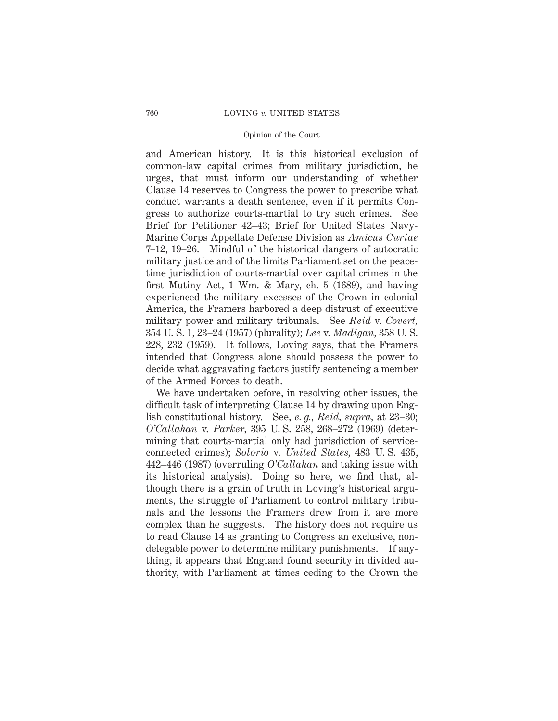and American history. It is this historical exclusion of common-law capital crimes from military jurisdiction, he urges, that must inform our understanding of whether Clause 14 reserves to Congress the power to prescribe what conduct warrants a death sentence, even if it permits Congress to authorize courts-martial to try such crimes. See Brief for Petitioner 42–43; Brief for United States Navy-Marine Corps Appellate Defense Division as *Amicus Curiae* 7–12, 19–26. Mindful of the historical dangers of autocratic military justice and of the limits Parliament set on the peacetime jurisdiction of courts-martial over capital crimes in the first Mutiny Act, 1 Wm. & Mary, ch. 5 (1689), and having experienced the military excesses of the Crown in colonial America, the Framers harbored a deep distrust of executive military power and military tribunals. See *Reid* v. *Covert,* 354 U. S. 1, 23–24 (1957) (plurality); *Lee* v. *Madigan,* 358 U. S. 228, 232 (1959). It follows, Loving says, that the Framers intended that Congress alone should possess the power to decide what aggravating factors justify sentencing a member of the Armed Forces to death.

We have undertaken before, in resolving other issues, the difficult task of interpreting Clause 14 by drawing upon English constitutional history. See, *e. g., Reid, supra,* at 23–30; *O'Callahan* v. *Parker,* 395 U. S. 258, 268–272 (1969) (determining that courts-martial only had jurisdiction of serviceconnected crimes); *Solorio* v. *United States,* 483 U. S. 435, 442–446 (1987) (overruling *O'Callahan* and taking issue with its historical analysis). Doing so here, we find that, although there is a grain of truth in Loving's historical arguments, the struggle of Parliament to control military tribunals and the lessons the Framers drew from it are more complex than he suggests. The history does not require us to read Clause 14 as granting to Congress an exclusive, nondelegable power to determine military punishments. If anything, it appears that England found security in divided authority, with Parliament at times ceding to the Crown the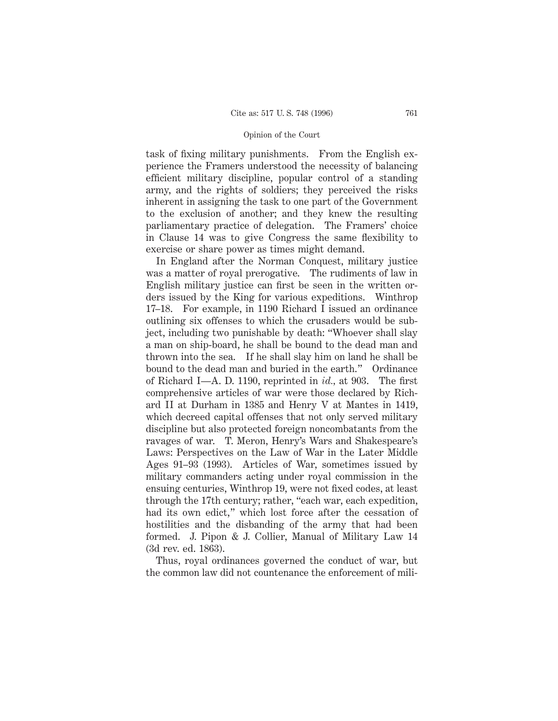task of fixing military punishments. From the English experience the Framers understood the necessity of balancing efficient military discipline, popular control of a standing army, and the rights of soldiers; they perceived the risks inherent in assigning the task to one part of the Government to the exclusion of another; and they knew the resulting parliamentary practice of delegation. The Framers' choice in Clause 14 was to give Congress the same flexibility to exercise or share power as times might demand.

In England after the Norman Conquest, military justice was a matter of royal prerogative. The rudiments of law in English military justice can first be seen in the written orders issued by the King for various expeditions. Winthrop 17–18. For example, in 1190 Richard I issued an ordinance outlining six offenses to which the crusaders would be subject, including two punishable by death: "Whoever shall slay a man on ship-board, he shall be bound to the dead man and thrown into the sea. If he shall slay him on land he shall be bound to the dead man and buried in the earth." Ordinance of Richard I—A. D. 1190, reprinted in *id.,* at 903. The first comprehensive articles of war were those declared by Richard II at Durham in 1385 and Henry V at Mantes in 1419, which decreed capital offenses that not only served military discipline but also protected foreign noncombatants from the ravages of war. T. Meron, Henry's Wars and Shakespeare's Laws: Perspectives on the Law of War in the Later Middle Ages 91–93 (1993). Articles of War, sometimes issued by military commanders acting under royal commission in the ensuing centuries, Winthrop 19, were not fixed codes, at least through the 17th century; rather, "each war, each expedition, had its own edict," which lost force after the cessation of hostilities and the disbanding of the army that had been formed. J. Pipon & J. Collier, Manual of Military Law 14 (3d rev. ed. 1863).

Thus, royal ordinances governed the conduct of war, but the common law did not countenance the enforcement of mili-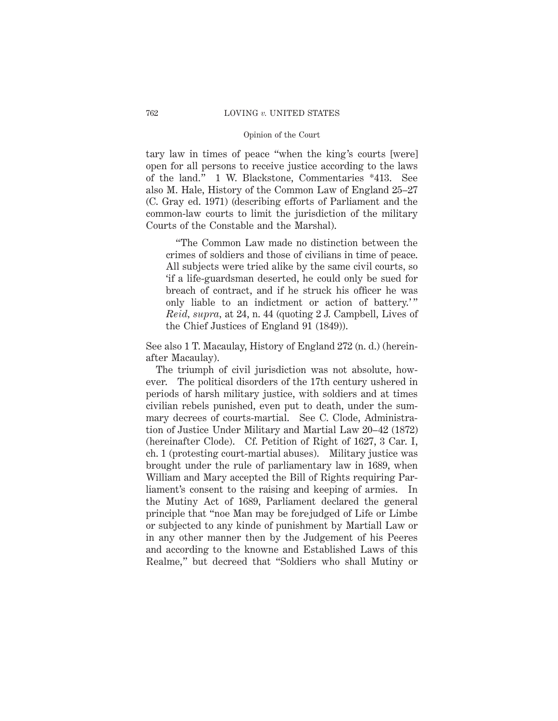tary law in times of peace "when the king's courts [were] open for all persons to receive justice according to the laws of the land." 1 W. Blackstone, Commentaries \*413. See also M. Hale, History of the Common Law of England 25–27 (C. Gray ed. 1971) (describing efforts of Parliament and the common-law courts to limit the jurisdiction of the military Courts of the Constable and the Marshal).

"The Common Law made no distinction between the crimes of soldiers and those of civilians in time of peace. All subjects were tried alike by the same civil courts, so 'if a life-guardsman deserted, he could only be sued for breach of contract, and if he struck his officer he was only liable to an indictment or action of battery.'" *Reid, supra,* at 24, n. 44 (quoting 2 J. Campbell, Lives of the Chief Justices of England 91 (1849)).

See also 1 T. Macaulay, History of England 272 (n. d.) (hereinafter Macaulay).

The triumph of civil jurisdiction was not absolute, however. The political disorders of the 17th century ushered in periods of harsh military justice, with soldiers and at times civilian rebels punished, even put to death, under the summary decrees of courts-martial. See C. Clode, Administration of Justice Under Military and Martial Law 20–42 (1872) (hereinafter Clode). Cf. Petition of Right of 1627, 3 Car. I, ch. 1 (protesting court-martial abuses). Military justice was brought under the rule of parliamentary law in 1689, when William and Mary accepted the Bill of Rights requiring Parliament's consent to the raising and keeping of armies. In the Mutiny Act of 1689, Parliament declared the general principle that "noe Man may be forejudged of Life or Limbe or subjected to any kinde of punishment by Martiall Law or in any other manner then by the Judgement of his Peeres and according to the knowne and Established Laws of this Realme," but decreed that "Soldiers who shall Mutiny or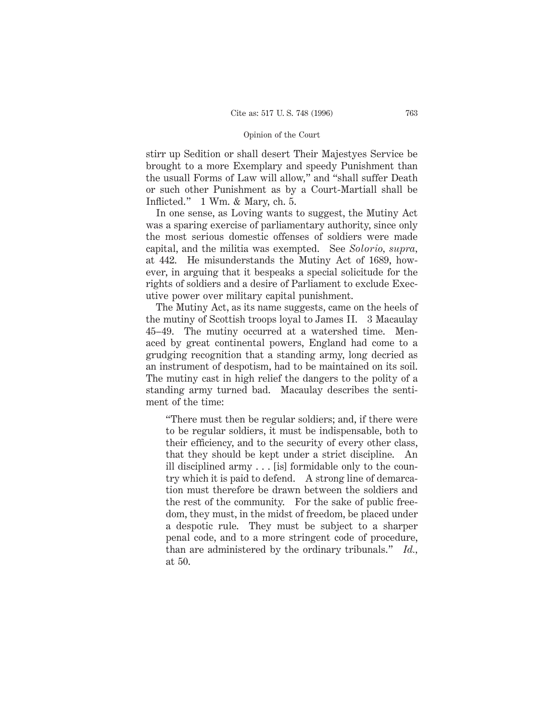stirr up Sedition or shall desert Their Majestyes Service be brought to a more Exemplary and speedy Punishment than the usuall Forms of Law will allow," and "shall suffer Death or such other Punishment as by a Court-Martiall shall be Inflicted." 1 Wm. & Mary, ch. 5.

In one sense, as Loving wants to suggest, the Mutiny Act was a sparing exercise of parliamentary authority, since only the most serious domestic offenses of soldiers were made capital, and the militia was exempted. See *Solorio, supra,* at 442. He misunderstands the Mutiny Act of 1689, however, in arguing that it bespeaks a special solicitude for the rights of soldiers and a desire of Parliament to exclude Executive power over military capital punishment.

The Mutiny Act, as its name suggests, came on the heels of the mutiny of Scottish troops loyal to James II. 3 Macaulay 45–49. The mutiny occurred at a watershed time. Menaced by great continental powers, England had come to a grudging recognition that a standing army, long decried as an instrument of despotism, had to be maintained on its soil. The mutiny cast in high relief the dangers to the polity of a standing army turned bad. Macaulay describes the sentiment of the time:

"There must then be regular soldiers; and, if there were to be regular soldiers, it must be indispensable, both to their efficiency, and to the security of every other class, that they should be kept under a strict discipline. An ill disciplined army . . . [is] formidable only to the country which it is paid to defend. A strong line of demarcation must therefore be drawn between the soldiers and the rest of the community. For the sake of public freedom, they must, in the midst of freedom, be placed under a despotic rule. They must be subject to a sharper penal code, and to a more stringent code of procedure, than are administered by the ordinary tribunals." *Id.,* at 50.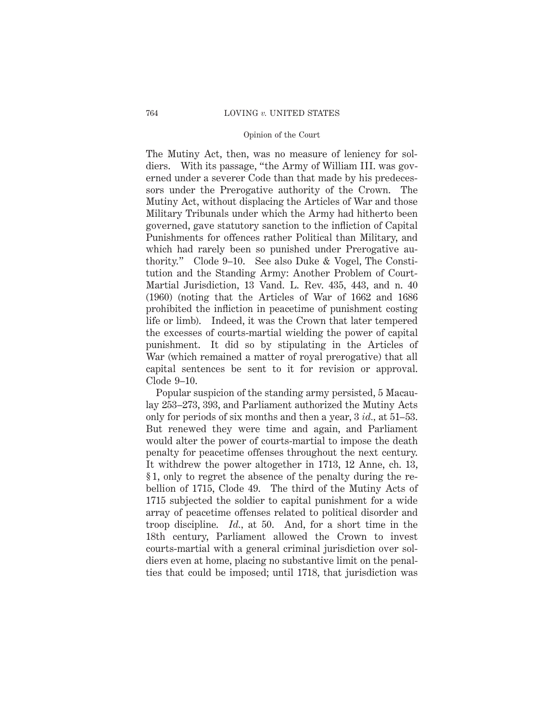The Mutiny Act, then, was no measure of leniency for soldiers. With its passage, "the Army of William III. was governed under a severer Code than that made by his predecessors under the Prerogative authority of the Crown. The Mutiny Act, without displacing the Articles of War and those Military Tribunals under which the Army had hitherto been governed, gave statutory sanction to the infliction of Capital Punishments for offences rather Political than Military, and which had rarely been so punished under Prerogative authority." Clode 9–10. See also Duke & Vogel, The Constitution and the Standing Army: Another Problem of Court-Martial Jurisdiction, 13 Vand. L. Rev. 435, 443, and n. 40 (1960) (noting that the Articles of War of 1662 and 1686 prohibited the infliction in peacetime of punishment costing life or limb). Indeed, it was the Crown that later tempered the excesses of courts-martial wielding the power of capital punishment. It did so by stipulating in the Articles of War (which remained a matter of royal prerogative) that all capital sentences be sent to it for revision or approval. Clode 9–10.

Popular suspicion of the standing army persisted, 5 Macaulay 253–273, 393, and Parliament authorized the Mutiny Acts only for periods of six months and then a year, 3 *id.,* at 51–53. But renewed they were time and again, and Parliament would alter the power of courts-martial to impose the death penalty for peacetime offenses throughout the next century. It withdrew the power altogether in 1713, 12 Anne, ch. 13, § 1, only to regret the absence of the penalty during the rebellion of 1715, Clode 49. The third of the Mutiny Acts of 1715 subjected the soldier to capital punishment for a wide array of peacetime offenses related to political disorder and troop discipline. *Id.,* at 50. And, for a short time in the 18th century, Parliament allowed the Crown to invest courts-martial with a general criminal jurisdiction over soldiers even at home, placing no substantive limit on the penalties that could be imposed; until 1718, that jurisdiction was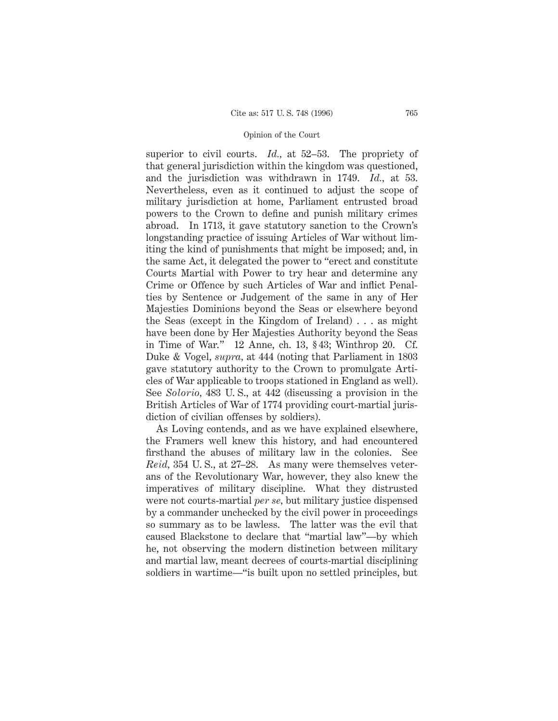superior to civil courts. *Id.,* at 52–53. The propriety of that general jurisdiction within the kingdom was questioned, and the jurisdiction was withdrawn in 1749. *Id.,* at 53. Nevertheless, even as it continued to adjust the scope of military jurisdiction at home, Parliament entrusted broad powers to the Crown to define and punish military crimes abroad. In 1713, it gave statutory sanction to the Crown's longstanding practice of issuing Articles of War without limiting the kind of punishments that might be imposed; and, in the same Act, it delegated the power to "erect and constitute Courts Martial with Power to try hear and determine any Crime or Offence by such Articles of War and inflict Penalties by Sentence or Judgement of the same in any of Her Majesties Dominions beyond the Seas or elsewhere beyond the Seas (except in the Kingdom of Ireland) . . . as might have been done by Her Majesties Authority beyond the Seas in Time of War." 12 Anne, ch. 13, § 43; Winthrop 20. Cf. Duke & Vogel, *supra,* at 444 (noting that Parliament in 1803 gave statutory authority to the Crown to promulgate Articles of War applicable to troops stationed in England as well). See *Solorio,* 483 U. S., at 442 (discussing a provision in the British Articles of War of 1774 providing court-martial jurisdiction of civilian offenses by soldiers).

As Loving contends, and as we have explained elsewhere, the Framers well knew this history, and had encountered firsthand the abuses of military law in the colonies. See *Reid,* 354 U. S., at 27–28. As many were themselves veterans of the Revolutionary War, however, they also knew the imperatives of military discipline. What they distrusted were not courts-martial *per se,* but military justice dispensed by a commander unchecked by the civil power in proceedings so summary as to be lawless. The latter was the evil that caused Blackstone to declare that "martial law"—by which he, not observing the modern distinction between military and martial law, meant decrees of courts-martial disciplining soldiers in wartime—"is built upon no settled principles, but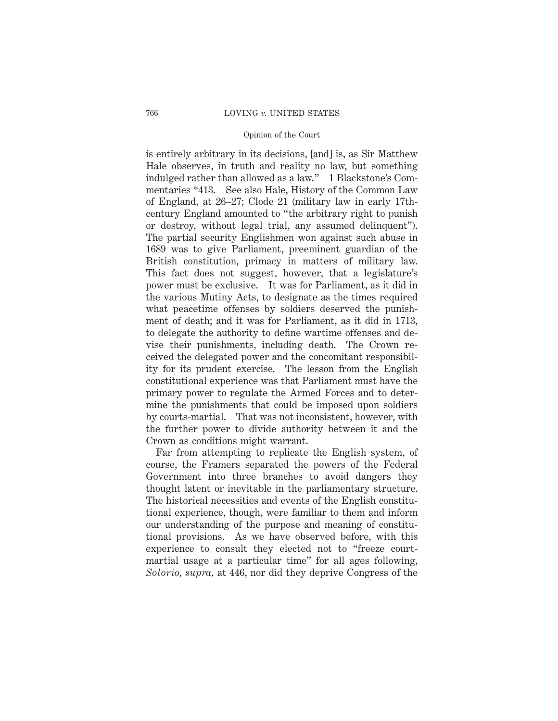is entirely arbitrary in its decisions, [and] is, as Sir Matthew Hale observes, in truth and reality no law, but something indulged rather than allowed as a law." 1 Blackstone's Commentaries \*413. See also Hale, History of the Common Law of England, at 26–27; Clode 21 (military law in early 17thcentury England amounted to "the arbitrary right to punish or destroy, without legal trial, any assumed delinquent"). The partial security Englishmen won against such abuse in 1689 was to give Parliament, preeminent guardian of the British constitution, primacy in matters of military law. This fact does not suggest, however, that a legislature's power must be exclusive. It was for Parliament, as it did in the various Mutiny Acts, to designate as the times required what peacetime offenses by soldiers deserved the punishment of death; and it was for Parliament, as it did in 1713, to delegate the authority to define wartime offenses and devise their punishments, including death. The Crown received the delegated power and the concomitant responsibility for its prudent exercise. The lesson from the English constitutional experience was that Parliament must have the primary power to regulate the Armed Forces and to determine the punishments that could be imposed upon soldiers by courts-martial. That was not inconsistent, however, with the further power to divide authority between it and the Crown as conditions might warrant.

Far from attempting to replicate the English system, of course, the Framers separated the powers of the Federal Government into three branches to avoid dangers they thought latent or inevitable in the parliamentary structure. The historical necessities and events of the English constitutional experience, though, were familiar to them and inform our understanding of the purpose and meaning of constitutional provisions. As we have observed before, with this experience to consult they elected not to "freeze courtmartial usage at a particular time" for all ages following, *Solorio, supra,* at 446, nor did they deprive Congress of the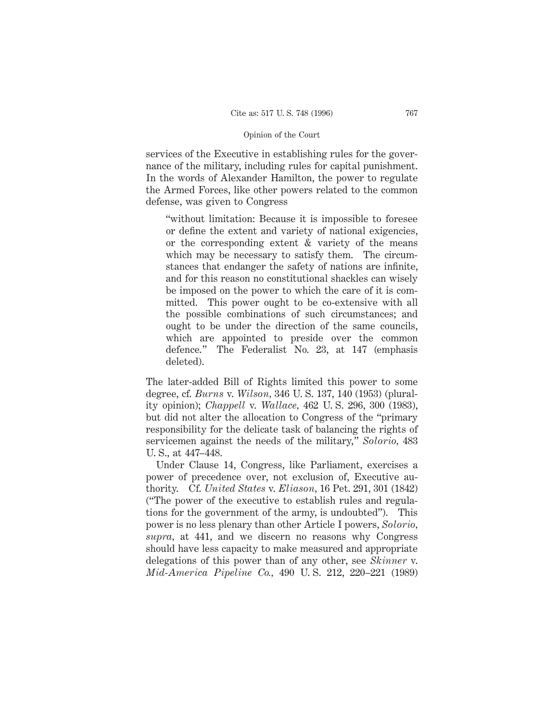services of the Executive in establishing rules for the governance of the military, including rules for capital punishment. In the words of Alexander Hamilton, the power to regulate the Armed Forces, like other powers related to the common defense, was given to Congress

"without limitation: Because it is impossible to foresee or define the extent and variety of national exigencies, or the corresponding extent & variety of the means which may be necessary to satisfy them. The circumstances that endanger the safety of nations are infinite, and for this reason no constitutional shackles can wisely be imposed on the power to which the care of it is committed. This power ought to be co-extensive with all the possible combinations of such circumstances; and ought to be under the direction of the same councils, which are appointed to preside over the common defence." The Federalist No. 23, at 147 (emphasis deleted).

The later-added Bill of Rights limited this power to some degree, cf. *Burns* v. *Wilson,* 346 U. S. 137, 140 (1953) (plurality opinion); *Chappell* v. *Wallace,* 462 U. S. 296, 300 (1983), but did not alter the allocation to Congress of the "primary responsibility for the delicate task of balancing the rights of servicemen against the needs of the military," *Solorio,* 483 U. S., at 447–448.

Under Clause 14, Congress, like Parliament, exercises a power of precedence over, not exclusion of, Executive authority. Cf. *United States* v. *Eliason,* 16 Pet. 291, 301 (1842) ("The power of the executive to establish rules and regulations for the government of the army, is undoubted"). This power is no less plenary than other Article I powers, *Solorio, supra,* at 441, and we discern no reasons why Congress should have less capacity to make measured and appropriate delegations of this power than of any other, see *Skinner* v. *Mid-America Pipeline Co.,* 490 U. S. 212, 220–221 (1989)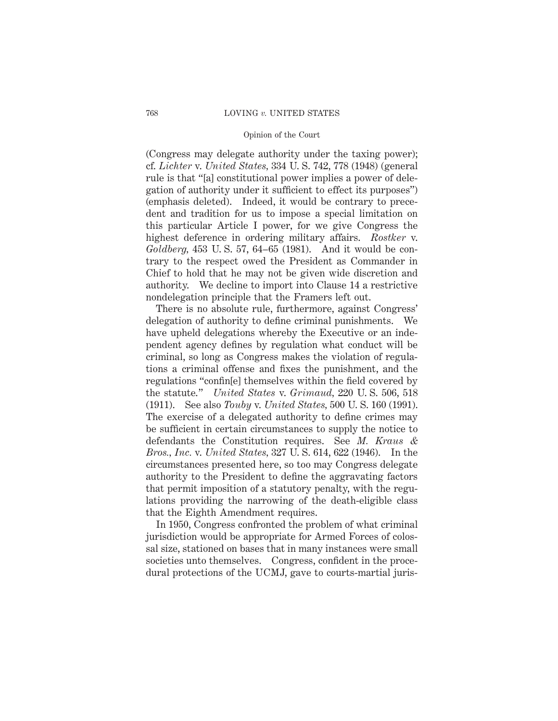(Congress may delegate authority under the taxing power); cf. *Lichter* v. *United States,* 334 U. S. 742, 778 (1948) (general rule is that "[a] constitutional power implies a power of delegation of authority under it sufficient to effect its purposes") (emphasis deleted). Indeed, it would be contrary to precedent and tradition for us to impose a special limitation on this particular Article I power, for we give Congress the highest deference in ordering military affairs. *Rostker* v. *Goldberg,* 453 U. S. 57, 64–65 (1981). And it would be contrary to the respect owed the President as Commander in Chief to hold that he may not be given wide discretion and authority. We decline to import into Clause 14 a restrictive nondelegation principle that the Framers left out.

There is no absolute rule, furthermore, against Congress' delegation of authority to define criminal punishments. We have upheld delegations whereby the Executive or an independent agency defines by regulation what conduct will be criminal, so long as Congress makes the violation of regulations a criminal offense and fixes the punishment, and the regulations "confin[e] themselves within the field covered by the statute." *United States* v. *Grimaud,* 220 U. S. 506, 518 (1911). See also *Touby* v. *United States,* 500 U. S. 160 (1991). The exercise of a delegated authority to define crimes may be sufficient in certain circumstances to supply the notice to defendants the Constitution requires. See *M. Kraus & Bros., Inc.* v. *United States,* 327 U. S. 614, 622 (1946). In the circumstances presented here, so too may Congress delegate authority to the President to define the aggravating factors that permit imposition of a statutory penalty, with the regulations providing the narrowing of the death-eligible class that the Eighth Amendment requires.

In 1950, Congress confronted the problem of what criminal jurisdiction would be appropriate for Armed Forces of colossal size, stationed on bases that in many instances were small societies unto themselves. Congress, confident in the procedural protections of the UCMJ, gave to courts-martial juris-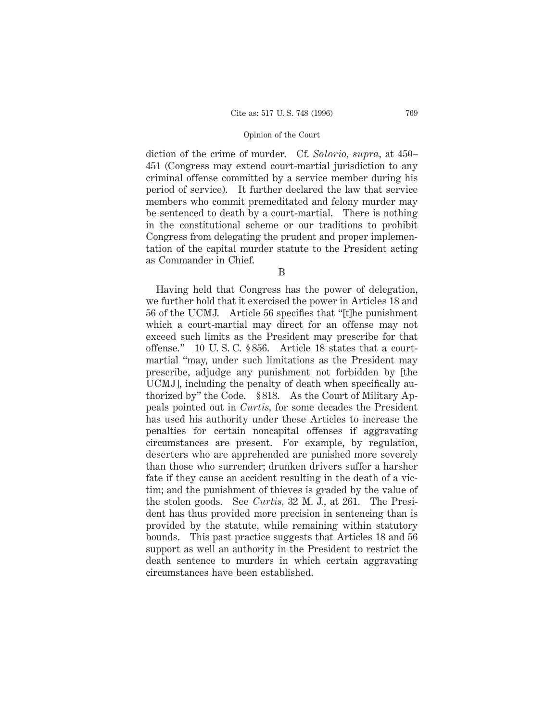diction of the crime of murder. Cf. *Solorio, supra,* at 450– 451 (Congress may extend court-martial jurisdiction to any criminal offense committed by a service member during his period of service). It further declared the law that service members who commit premeditated and felony murder may be sentenced to death by a court-martial. There is nothing in the constitutional scheme or our traditions to prohibit Congress from delegating the prudent and proper implementation of the capital murder statute to the President acting as Commander in Chief.

B

Having held that Congress has the power of delegation, we further hold that it exercised the power in Articles 18 and 56 of the UCMJ. Article 56 specifies that "[t]he punishment which a court-martial may direct for an offense may not exceed such limits as the President may prescribe for that offense." 10 U. S. C. § 856. Article 18 states that a courtmartial "may, under such limitations as the President may prescribe, adjudge any punishment not forbidden by [the UCMJ], including the penalty of death when specifically authorized by" the Code. § 818. As the Court of Military Appeals pointed out in *Curtis,* for some decades the President has used his authority under these Articles to increase the penalties for certain noncapital offenses if aggravating circumstances are present. For example, by regulation, deserters who are apprehended are punished more severely than those who surrender; drunken drivers suffer a harsher fate if they cause an accident resulting in the death of a victim; and the punishment of thieves is graded by the value of the stolen goods. See *Curtis,* 32 M. J., at 261. The President has thus provided more precision in sentencing than is provided by the statute, while remaining within statutory bounds. This past practice suggests that Articles 18 and 56 support as well an authority in the President to restrict the death sentence to murders in which certain aggravating circumstances have been established.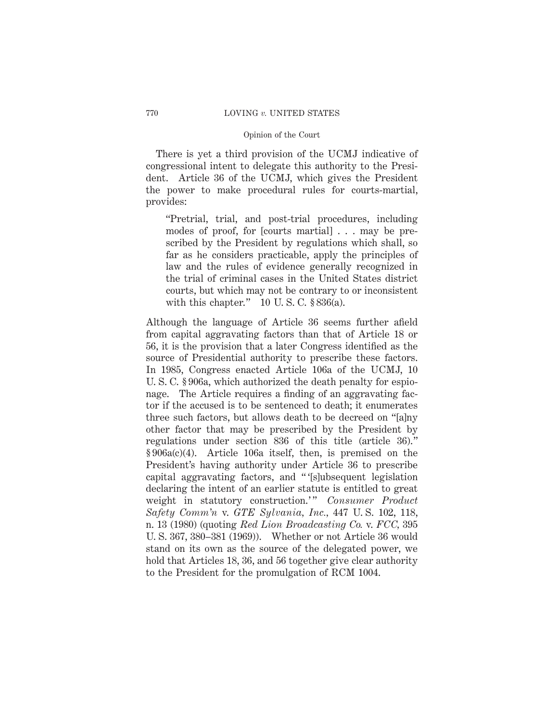There is yet a third provision of the UCMJ indicative of congressional intent to delegate this authority to the President. Article 36 of the UCMJ, which gives the President the power to make procedural rules for courts-martial, provides:

"Pretrial, trial, and post-trial procedures, including modes of proof, for [courts martial] . . . may be prescribed by the President by regulations which shall, so far as he considers practicable, apply the principles of law and the rules of evidence generally recognized in the trial of criminal cases in the United States district courts, but which may not be contrary to or inconsistent with this chapter."  $10 \text{ U.S. C. }$  § 836(a).

Although the language of Article 36 seems further afield from capital aggravating factors than that of Article 18 or 56, it is the provision that a later Congress identified as the source of Presidential authority to prescribe these factors. In 1985, Congress enacted Article 106a of the UCMJ, 10 U. S. C. § 906a, which authorized the death penalty for espionage. The Article requires a finding of an aggravating factor if the accused is to be sentenced to death; it enumerates three such factors, but allows death to be decreed on "[a]ny other factor that may be prescribed by the President by regulations under section 836 of this title (article 36)." § 906a(c)(4). Article 106a itself, then, is premised on the President's having authority under Article 36 to prescribe capital aggravating factors, and " '[s]ubsequent legislation declaring the intent of an earlier statute is entitled to great weight in statutory construction.'" Consumer Product *Safety Comm'n* v. *GTE Sylvania, Inc.,* 447 U. S. 102, 118, n. 13 (1980) (quoting *Red Lion Broadcasting Co.* v. *FCC,* 395 U. S. 367, 380–381 (1969)). Whether or not Article 36 would stand on its own as the source of the delegated power, we hold that Articles 18, 36, and 56 together give clear authority to the President for the promulgation of RCM 1004.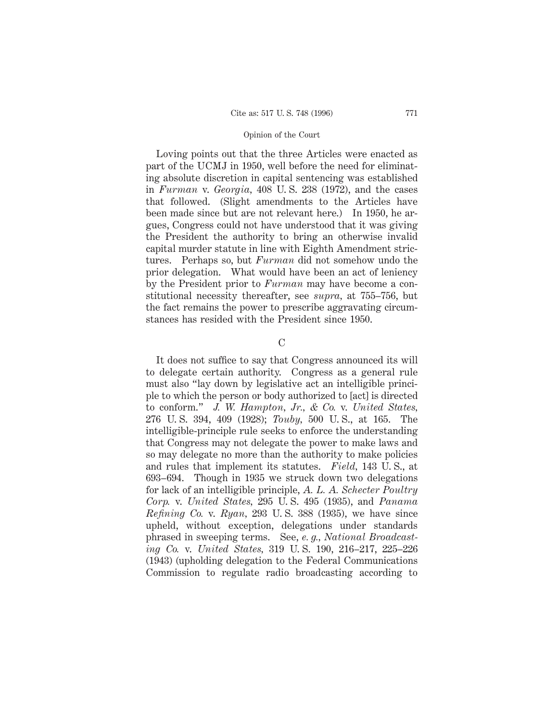Loving points out that the three Articles were enacted as part of the UCMJ in 1950, well before the need for eliminating absolute discretion in capital sentencing was established in *Furman* v. *Georgia,* 408 U. S. 238 (1972), and the cases that followed. (Slight amendments to the Articles have been made since but are not relevant here.) In 1950, he argues, Congress could not have understood that it was giving the President the authority to bring an otherwise invalid capital murder statute in line with Eighth Amendment strictures. Perhaps so, but *Furman* did not somehow undo the prior delegation. What would have been an act of leniency by the President prior to *Furman* may have become a constitutional necessity thereafter, see *supra,* at 755–756, but the fact remains the power to prescribe aggravating circumstances has resided with the President since 1950.

 $\mathcal{C}$ 

It does not suffice to say that Congress announced its will to delegate certain authority. Congress as a general rule must also "lay down by legislative act an intelligible principle to which the person or body authorized to [act] is directed to conform." *J. W. Hampton, Jr., & Co.* v. *United States,* 276 U. S. 394, 409 (1928); *Touby,* 500 U. S., at 165. The intelligible-principle rule seeks to enforce the understanding that Congress may not delegate the power to make laws and so may delegate no more than the authority to make policies and rules that implement its statutes. *Field,* 143 U. S., at 693–694. Though in 1935 we struck down two delegations for lack of an intelligible principle, *A. L. A. Schecter Poultry Corp.* v. *United States,* 295 U. S. 495 (1935), and *Panama Refining Co.* v. *Ryan,* 293 U. S. 388 (1935), we have since upheld, without exception, delegations under standards phrased in sweeping terms. See, *e. g., National Broadcasting Co.* v. *United States,* 319 U. S. 190, 216–217, 225–226 (1943) (upholding delegation to the Federal Communications Commission to regulate radio broadcasting according to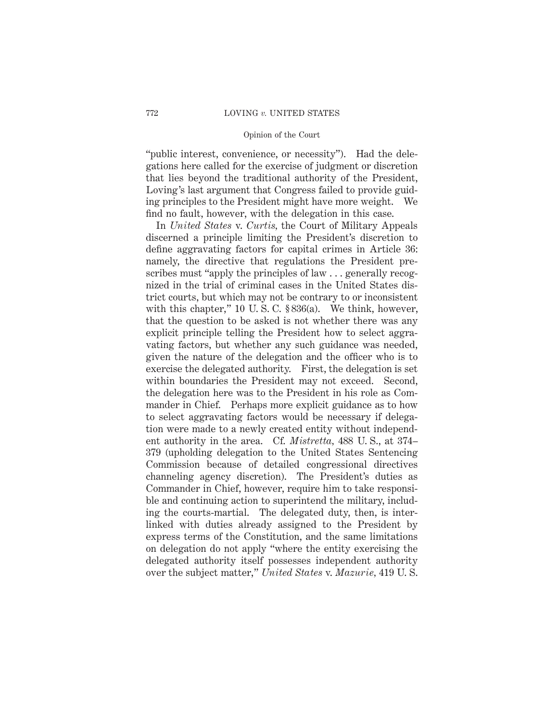"public interest, convenience, or necessity"). Had the delegations here called for the exercise of judgment or discretion that lies beyond the traditional authority of the President, Loving's last argument that Congress failed to provide guiding principles to the President might have more weight. We find no fault, however, with the delegation in this case.

In *United States* v. *Curtis,* the Court of Military Appeals discerned a principle limiting the President's discretion to define aggravating factors for capital crimes in Article 36: namely, the directive that regulations the President prescribes must "apply the principles of law . . . generally recognized in the trial of criminal cases in the United States district courts, but which may not be contrary to or inconsistent with this chapter," 10 U.S.C. § 836(a). We think, however, that the question to be asked is not whether there was any explicit principle telling the President how to select aggravating factors, but whether any such guidance was needed, given the nature of the delegation and the officer who is to exercise the delegated authority. First, the delegation is set within boundaries the President may not exceed. Second, the delegation here was to the President in his role as Commander in Chief. Perhaps more explicit guidance as to how to select aggravating factors would be necessary if delegation were made to a newly created entity without independent authority in the area. Cf. *Mistretta,* 488 U. S., at 374– 379 (upholding delegation to the United States Sentencing Commission because of detailed congressional directives channeling agency discretion). The President's duties as Commander in Chief, however, require him to take responsible and continuing action to superintend the military, including the courts-martial. The delegated duty, then, is interlinked with duties already assigned to the President by express terms of the Constitution, and the same limitations on delegation do not apply "where the entity exercising the delegated authority itself possesses independent authority over the subject matter," *United States* v. *Mazurie,* 419 U. S.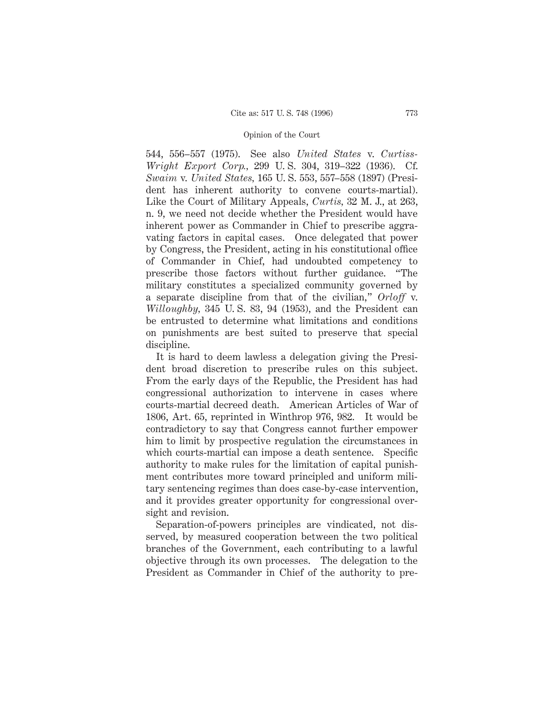544, 556–557 (1975). See also *United States* v. *Curtiss-Wright Export Corp.,* 299 U. S. 304, 319–322 (1936). Cf. *Swaim* v. *United States,* 165 U. S. 553, 557–558 (1897) (President has inherent authority to convene courts-martial). Like the Court of Military Appeals, *Curtis,* 32 M. J., at 263, n. 9, we need not decide whether the President would have inherent power as Commander in Chief to prescribe aggravating factors in capital cases. Once delegated that power by Congress, the President, acting in his constitutional office of Commander in Chief, had undoubted competency to prescribe those factors without further guidance. "The military constitutes a specialized community governed by a separate discipline from that of the civilian," *Orloff* v. *Willoughby,* 345 U. S. 83, 94 (1953), and the President can be entrusted to determine what limitations and conditions on punishments are best suited to preserve that special discipline.

It is hard to deem lawless a delegation giving the President broad discretion to prescribe rules on this subject. From the early days of the Republic, the President has had congressional authorization to intervene in cases where courts-martial decreed death. American Articles of War of 1806, Art. 65, reprinted in Winthrop 976, 982. It would be contradictory to say that Congress cannot further empower him to limit by prospective regulation the circumstances in which courts-martial can impose a death sentence. Specific authority to make rules for the limitation of capital punishment contributes more toward principled and uniform military sentencing regimes than does case-by-case intervention, and it provides greater opportunity for congressional oversight and revision.

Separation-of-powers principles are vindicated, not disserved, by measured cooperation between the two political branches of the Government, each contributing to a lawful objective through its own processes. The delegation to the President as Commander in Chief of the authority to pre-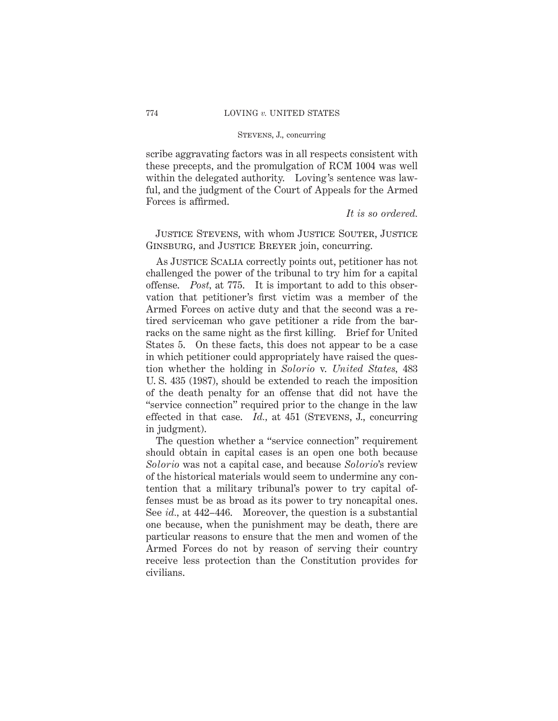### STEVENS, J., concurring

scribe aggravating factors was in all respects consistent with these precepts, and the promulgation of RCM 1004 was well within the delegated authority. Loving's sentence was lawful, and the judgment of the Court of Appeals for the Armed Forces is affirmed.

#### *It is so ordered.*

Justice Stevens, with whom Justice Souter, Justice Ginsburg, and Justice Breyer join, concurring.

As Justice Scalia correctly points out, petitioner has not challenged the power of the tribunal to try him for a capital offense. *Post,* at 775. It is important to add to this observation that petitioner's first victim was a member of the Armed Forces on active duty and that the second was a retired serviceman who gave petitioner a ride from the barracks on the same night as the first killing. Brief for United States 5. On these facts, this does not appear to be a case in which petitioner could appropriately have raised the question whether the holding in *Solorio* v. *United States,* 483 U. S. 435 (1987), should be extended to reach the imposition of the death penalty for an offense that did not have the "service connection" required prior to the change in the law effected in that case. *Id.*, at 451 (STEVENS, J., concurring in judgment).

The question whether a "service connection" requirement should obtain in capital cases is an open one both because *Solorio* was not a capital case, and because *Solorio*'s review of the historical materials would seem to undermine any contention that a military tribunal's power to try capital offenses must be as broad as its power to try noncapital ones. See *id.,* at 442–446. Moreover, the question is a substantial one because, when the punishment may be death, there are particular reasons to ensure that the men and women of the Armed Forces do not by reason of serving their country receive less protection than the Constitution provides for civilians.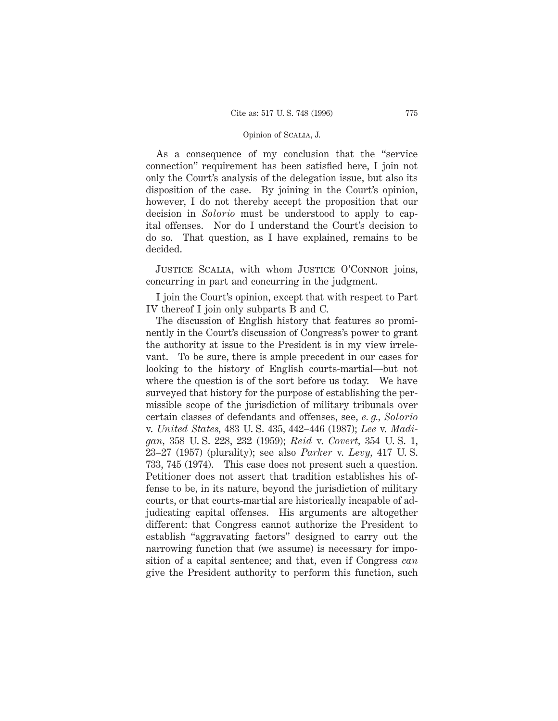#### Opinion of Scalia, J.

As a consequence of my conclusion that the "service connection" requirement has been satisfied here, I join not only the Court's analysis of the delegation issue, but also its disposition of the case. By joining in the Court's opinion, however, I do not thereby accept the proposition that our decision in *Solorio* must be understood to apply to capital offenses. Nor do I understand the Court's decision to do so. That question, as I have explained, remains to be decided.

Justice Scalia, with whom Justice O'Connor joins, concurring in part and concurring in the judgment.

I join the Court's opinion, except that with respect to Part IV thereof I join only subparts B and C.

The discussion of English history that features so prominently in the Court's discussion of Congress's power to grant the authority at issue to the President is in my view irrelevant. To be sure, there is ample precedent in our cases for looking to the history of English courts-martial—but not where the question is of the sort before us today. We have surveyed that history for the purpose of establishing the permissible scope of the jurisdiction of military tribunals over certain classes of defendants and offenses, see, *e. g., Solorio* v. *United States,* 483 U. S. 435, 442–446 (1987); *Lee* v. *Madigan,* 358 U. S. 228, 232 (1959); *Reid* v. *Covert,* 354 U. S. 1, 23–27 (1957) (plurality); see also *Parker* v. *Levy,* 417 U. S. 733, 745 (1974). This case does not present such a question. Petitioner does not assert that tradition establishes his offense to be, in its nature, beyond the jurisdiction of military courts, or that courts-martial are historically incapable of adjudicating capital offenses. His arguments are altogether different: that Congress cannot authorize the President to establish "aggravating factors" designed to carry out the narrowing function that (we assume) is necessary for imposition of a capital sentence; and that, even if Congress *can* give the President authority to perform this function, such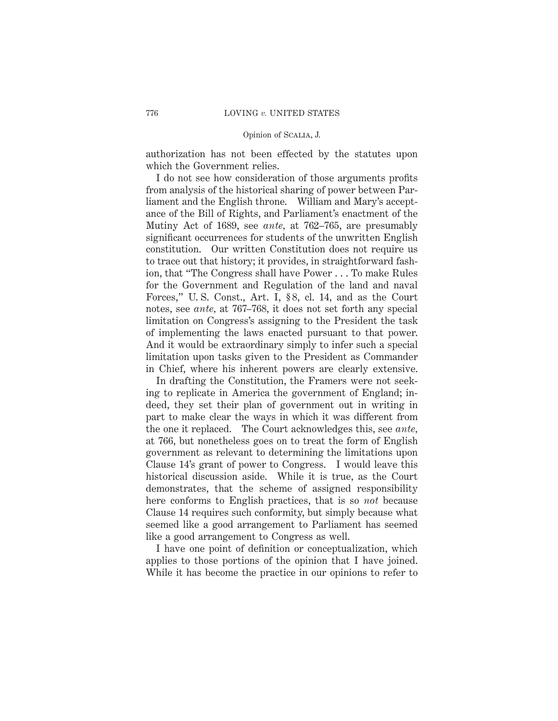#### Opinion of Scalia, J.

authorization has not been effected by the statutes upon which the Government relies.

I do not see how consideration of those arguments profits from analysis of the historical sharing of power between Parliament and the English throne. William and Mary's acceptance of the Bill of Rights, and Parliament's enactment of the Mutiny Act of 1689, see *ante,* at 762–765, are presumably significant occurrences for students of the unwritten English constitution. Our written Constitution does not require us to trace out that history; it provides, in straightforward fashion, that "The Congress shall have Power . . . To make Rules for the Government and Regulation of the land and naval Forces," U.S. Const., Art. I, §8, cl. 14, and as the Court notes, see *ante,* at 767–768, it does not set forth any special limitation on Congress's assigning to the President the task of implementing the laws enacted pursuant to that power. And it would be extraordinary simply to infer such a special limitation upon tasks given to the President as Commander in Chief, where his inherent powers are clearly extensive.

In drafting the Constitution, the Framers were not seeking to replicate in America the government of England; indeed, they set their plan of government out in writing in part to make clear the ways in which it was different from the one it replaced. The Court acknowledges this, see *ante,* at 766, but nonetheless goes on to treat the form of English government as relevant to determining the limitations upon Clause 14's grant of power to Congress. I would leave this historical discussion aside. While it is true, as the Court demonstrates, that the scheme of assigned responsibility here conforms to English practices, that is so *not* because Clause 14 requires such conformity, but simply because what seemed like a good arrangement to Parliament has seemed like a good arrangement to Congress as well.

I have one point of definition or conceptualization, which applies to those portions of the opinion that I have joined. While it has become the practice in our opinions to refer to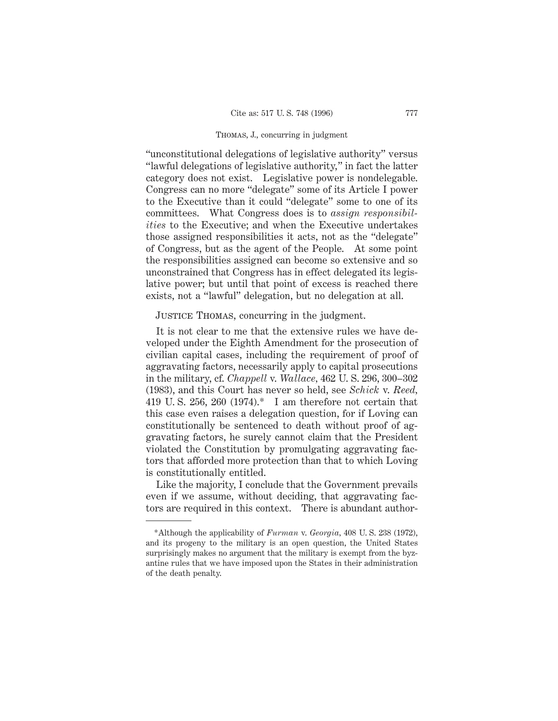"unconstitutional delegations of legislative authority" versus "lawful delegations of legislative authority," in fact the latter category does not exist. Legislative power is nondelegable. Congress can no more "delegate" some of its Article I power to the Executive than it could "delegate" some to one of its committees. What Congress does is to *assign responsibilities* to the Executive; and when the Executive undertakes those assigned responsibilities it acts, not as the "delegate" of Congress, but as the agent of the People. At some point the responsibilities assigned can become so extensive and so unconstrained that Congress has in effect delegated its legislative power; but until that point of excess is reached there exists, not a "lawful" delegation, but no delegation at all.

# Justice Thomas, concurring in the judgment.

It is not clear to me that the extensive rules we have developed under the Eighth Amendment for the prosecution of civilian capital cases, including the requirement of proof of aggravating factors, necessarily apply to capital prosecutions in the military, cf. *Chappell* v. *Wallace,* 462 U. S. 296, 300–302 (1983), and this Court has never so held, see *Schick* v. *Reed,* 419 U. S. 256, 260 (1974).\* I am therefore not certain that this case even raises a delegation question, for if Loving can constitutionally be sentenced to death without proof of aggravating factors, he surely cannot claim that the President violated the Constitution by promulgating aggravating factors that afforded more protection than that to which Loving is constitutionally entitled.

Like the majority, I conclude that the Government prevails even if we assume, without deciding, that aggravating factors are required in this context. There is abundant author-

<sup>\*</sup>Although the applicability of *Furman* v. *Georgia,* 408 U. S. 238 (1972), and its progeny to the military is an open question, the United States surprisingly makes no argument that the military is exempt from the byzantine rules that we have imposed upon the States in their administration of the death penalty.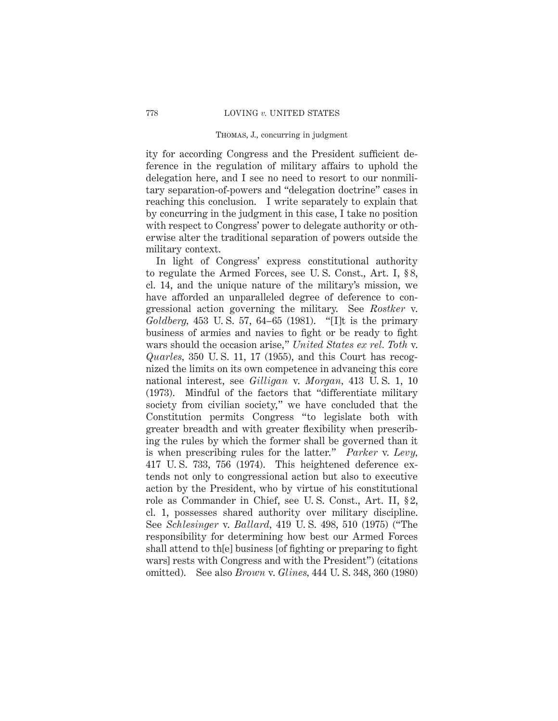ity for according Congress and the President sufficient deference in the regulation of military affairs to uphold the delegation here, and I see no need to resort to our nonmilitary separation-of-powers and "delegation doctrine" cases in reaching this conclusion. I write separately to explain that by concurring in the judgment in this case, I take no position with respect to Congress' power to delegate authority or otherwise alter the traditional separation of powers outside the military context.

In light of Congress' express constitutional authority to regulate the Armed Forces, see U. S. Const., Art. I, § 8, cl. 14, and the unique nature of the military's mission, we have afforded an unparalleled degree of deference to congressional action governing the military. See *Rostker* v. *Goldberg,* 453 U. S. 57, 64–65 (1981). "[I]t is the primary business of armies and navies to fight or be ready to fight wars should the occasion arise," *United States ex rel. Toth* v. *Quarles,* 350 U. S. 11, 17 (1955), and this Court has recognized the limits on its own competence in advancing this core national interest, see *Gilligan* v. *Morgan,* 413 U. S. 1, 10 (1973). Mindful of the factors that "differentiate military society from civilian society," we have concluded that the Constitution permits Congress "to legislate both with greater breadth and with greater flexibility when prescribing the rules by which the former shall be governed than it is when prescribing rules for the latter." *Parker* v. *Levy,* 417 U. S. 733, 756 (1974). This heightened deference extends not only to congressional action but also to executive action by the President, who by virtue of his constitutional role as Commander in Chief, see U. S. Const., Art. II, § 2, cl. 1, possesses shared authority over military discipline. See *Schlesinger* v. *Ballard,* 419 U. S. 498, 510 (1975) ("The responsibility for determining how best our Armed Forces shall attend to th[e] business [of fighting or preparing to fight wars] rests with Congress and with the President") (citations omitted). See also *Brown* v. *Glines,* 444 U. S. 348, 360 (1980)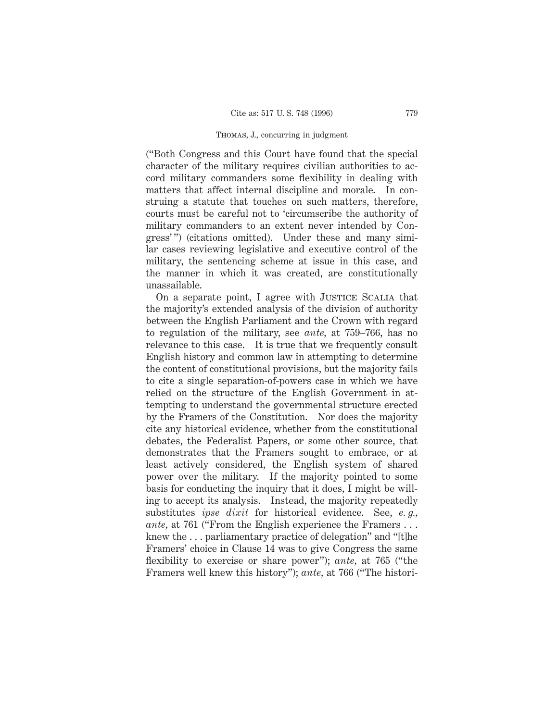("Both Congress and this Court have found that the special character of the military requires civilian authorities to accord military commanders some flexibility in dealing with matters that affect internal discipline and morale. In construing a statute that touches on such matters, therefore, courts must be careful not to 'circumscribe the authority of military commanders to an extent never intended by Congress' ") (citations omitted). Under these and many similar cases reviewing legislative and executive control of the military, the sentencing scheme at issue in this case, and the manner in which it was created, are constitutionally unassailable.

On a separate point, I agree with Justice Scalia that the majority's extended analysis of the division of authority between the English Parliament and the Crown with regard to regulation of the military, see *ante,* at 759–766, has no relevance to this case. It is true that we frequently consult English history and common law in attempting to determine the content of constitutional provisions, but the majority fails to cite a single separation-of-powers case in which we have relied on the structure of the English Government in attempting to understand the governmental structure erected by the Framers of the Constitution. Nor does the majority cite any historical evidence, whether from the constitutional debates, the Federalist Papers, or some other source, that demonstrates that the Framers sought to embrace, or at least actively considered, the English system of shared power over the military. If the majority pointed to some basis for conducting the inquiry that it does, I might be willing to accept its analysis. Instead, the majority repeatedly substitutes *ipse dixit* for historical evidence. See, *e. g., ante,* at 761 ("From the English experience the Framers . . . knew the . . . parliamentary practice of delegation" and "[t]he Framers' choice in Clause 14 was to give Congress the same flexibility to exercise or share power"); *ante,* at 765 ("the Framers well knew this history"); *ante,* at 766 ("The histori-